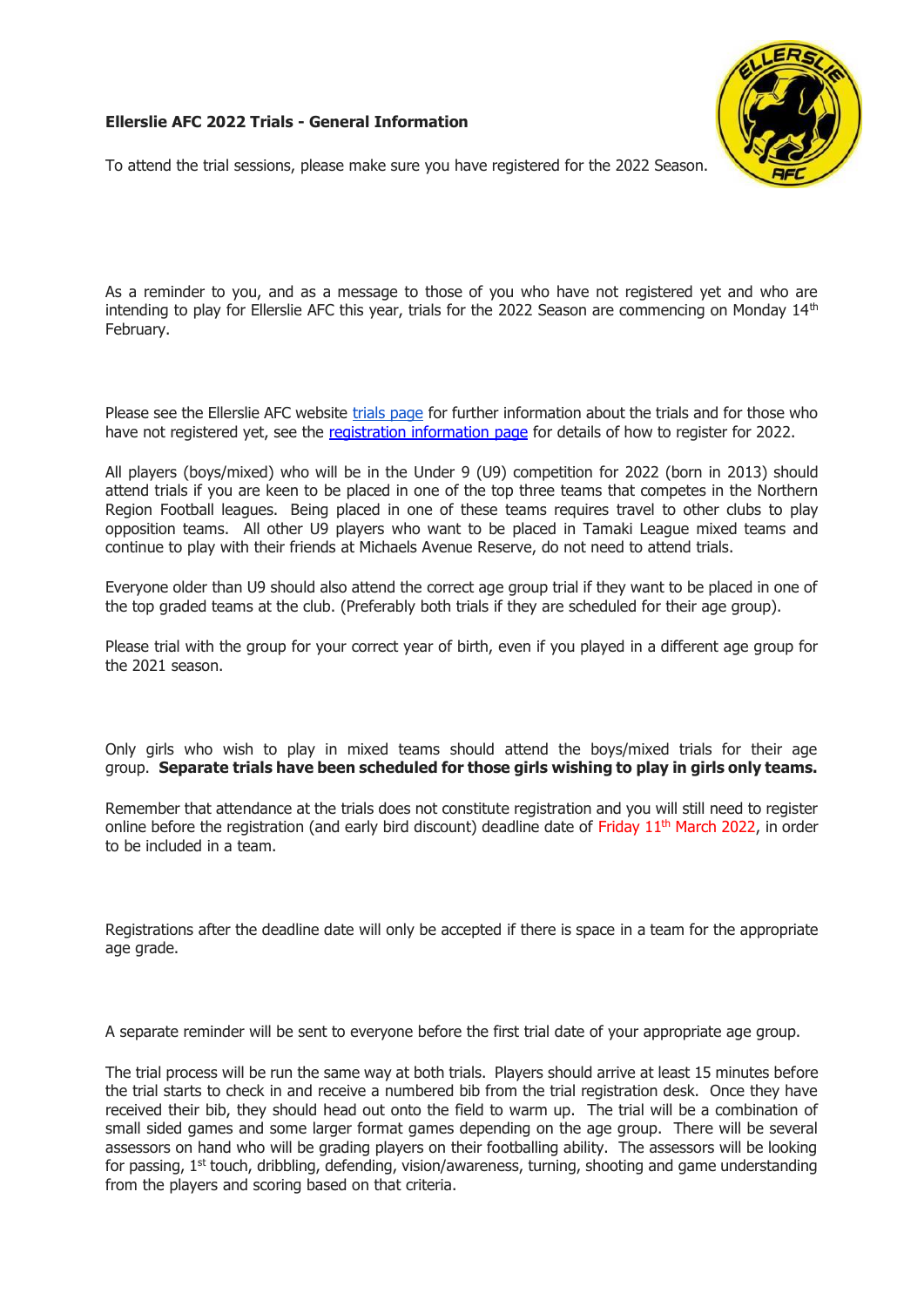## **Ellerslie AFC 2022 Trials - General Information**



To attend the trial sessions, please make sure you have registered for the 2022 Season.

As a reminder to you, and as a message to those of you who have not registered yet and who are intending to play for Ellerslie AFC this year, trials for the 2022 Season are commencing on Monday  $14<sup>th</sup>$ February.

Please see the Ellerslie AFC website [trials page](http://www.ellersliefootball.org.nz/trials.php) for further information about the trials and for those who have not registered yet, see the [registration information page](http://www.ellersliefootball.org.nz/regoverview.php) for details of how to register for 2022.

All players (boys/mixed) who will be in the Under 9 (U9) competition for 2022 (born in 2013) should attend trials if you are keen to be placed in one of the top three teams that competes in the Northern Region Football leagues. Being placed in one of these teams requires travel to other clubs to play opposition teams. All other U9 players who want to be placed in Tamaki League mixed teams and continue to play with their friends at Michaels Avenue Reserve, do not need to attend trials.

Everyone older than U9 should also attend the correct age group trial if they want to be placed in one of the top graded teams at the club. (Preferably both trials if they are scheduled for their age group).

Please trial with the group for your correct year of birth, even if you played in a different age group for the 2021 season.

Only girls who wish to play in mixed teams should attend the boys/mixed trials for their age group. **Separate trials have been scheduled for those girls wishing to play in girls only teams.**

Remember that attendance at the trials does not constitute registration and you will still need to register online before the registration (and early bird discount) deadline date of Friday  $11<sup>th</sup>$  March 2022, in order to be included in a team.

Registrations after the deadline date will only be accepted if there is space in a team for the appropriate age grade.

A separate reminder will be sent to everyone before the first trial date of your appropriate age group.

The trial process will be run the same way at both trials. Players should arrive at least 15 minutes before the trial starts to check in and receive a numbered bib from the trial registration desk. Once they have received their bib, they should head out onto the field to warm up. The trial will be a combination of small sided games and some larger format games depending on the age group. There will be several assessors on hand who will be grading players on their footballing ability. The assessors will be looking for passing, 1<sup>st</sup> touch, dribbling, defending, vision/awareness, turning, shooting and game understanding from the players and scoring based on that criteria.